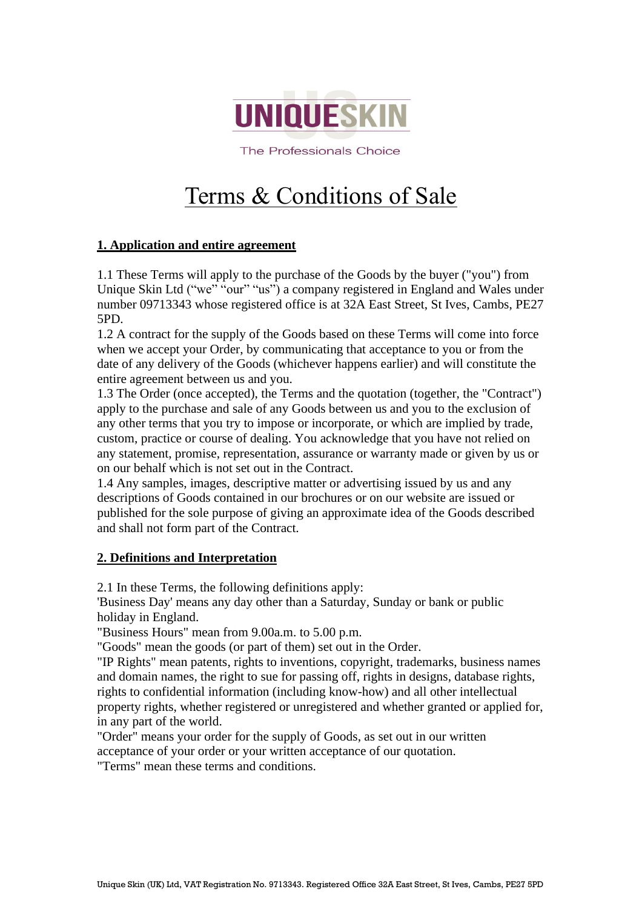

The Professionals Choice

# Terms & Conditions of Sale

# **1. Application and entire agreement**

1.1 These Terms will apply to the purchase of the Goods by the buyer ("you") from Unique Skin Ltd ("we" "our" "us") a company registered in England and Wales under number 09713343 whose registered office is at 32A East Street, St Ives, Cambs, PE27 5PD.

1.2 A contract for the supply of the Goods based on these Terms will come into force when we accept your Order, by communicating that acceptance to you or from the date of any delivery of the Goods (whichever happens earlier) and will constitute the entire agreement between us and you.

1.3 The Order (once accepted), the Terms and the quotation (together, the "Contract") apply to the purchase and sale of any Goods between us and you to the exclusion of any other terms that you try to impose or incorporate, or which are implied by trade, custom, practice or course of dealing. You acknowledge that you have not relied on any statement, promise, representation, assurance or warranty made or given by us or on our behalf which is not set out in the Contract.

1.4 Any samples, images, descriptive matter or advertising issued by us and any descriptions of Goods contained in our brochures or on our website are issued or published for the sole purpose of giving an approximate idea of the Goods described and shall not form part of the Contract.

# **2. Definitions and Interpretation**

2.1 In these Terms, the following definitions apply:

'Business Day' means any day other than a Saturday, Sunday or bank or public holiday in England.

"Business Hours" mean from 9.00a.m. to 5.00 p.m.

"Goods" mean the goods (or part of them) set out in the Order.

"IP Rights" mean patents, rights to inventions, copyright, trademarks, business names and domain names, the right to sue for passing off, rights in designs, database rights, rights to confidential information (including know-how) and all other intellectual property rights, whether registered or unregistered and whether granted or applied for, in any part of the world.

"Order" means your order for the supply of Goods, as set out in our written acceptance of your order or your written acceptance of our quotation.

"Terms" mean these terms and conditions.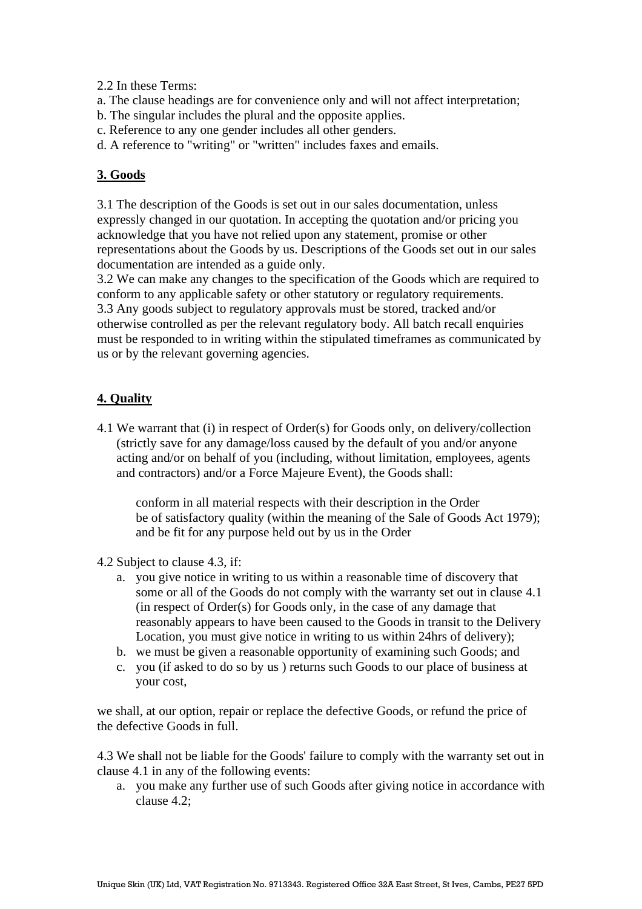2.2 In these Terms:

- a. The clause headings are for convenience only and will not affect interpretation;
- b. The singular includes the plural and the opposite applies.
- c. Reference to any one gender includes all other genders.
- d. A reference to "writing" or "written" includes faxes and emails.

# **3. Goods**

3.1 The description of the Goods is set out in our sales documentation, unless expressly changed in our quotation. In accepting the quotation and/or pricing you acknowledge that you have not relied upon any statement, promise or other representations about the Goods by us. Descriptions of the Goods set out in our sales documentation are intended as a guide only.

3.2 We can make any changes to the specification of the Goods which are required to conform to any applicable safety or other statutory or regulatory requirements. 3.3 Any goods subject to regulatory approvals must be stored, tracked and/or otherwise controlled as per the relevant regulatory body. All batch recall enquiries must be responded to in writing within the stipulated timeframes as communicated by us or by the relevant governing agencies.

# **4. Quality**

4.1 We warrant that (i) in respect of Order(s) for Goods only, on delivery/collection (strictly save for any damage/loss caused by the default of you and/or anyone acting and/or on behalf of you (including, without limitation, employees, agents and contractors) and/or a Force Majeure Event), the Goods shall:

conform in all material respects with their description in the Order be of satisfactory quality (within the meaning of the Sale of Goods Act 1979); and be fit for any purpose held out by us in the Order

- 4.2 Subject to clause 4.3, if:
	- a. you give notice in writing to us within a reasonable time of discovery that some or all of the Goods do not comply with the warranty set out in clause 4.1 (in respect of Order(s) for Goods only, in the case of any damage that reasonably appears to have been caused to the Goods in transit to the Delivery Location, you must give notice in writing to us within 24hrs of delivery);
	- b. we must be given a reasonable opportunity of examining such Goods; and
	- c. you (if asked to do so by us ) returns such Goods to our place of business at your cost,

we shall, at our option, repair or replace the defective Goods, or refund the price of the defective Goods in full.

4.3 We shall not be liable for the Goods' failure to comply with the warranty set out in clause 4.1 in any of the following events:

a. you make any further use of such Goods after giving notice in accordance with clause 4.2;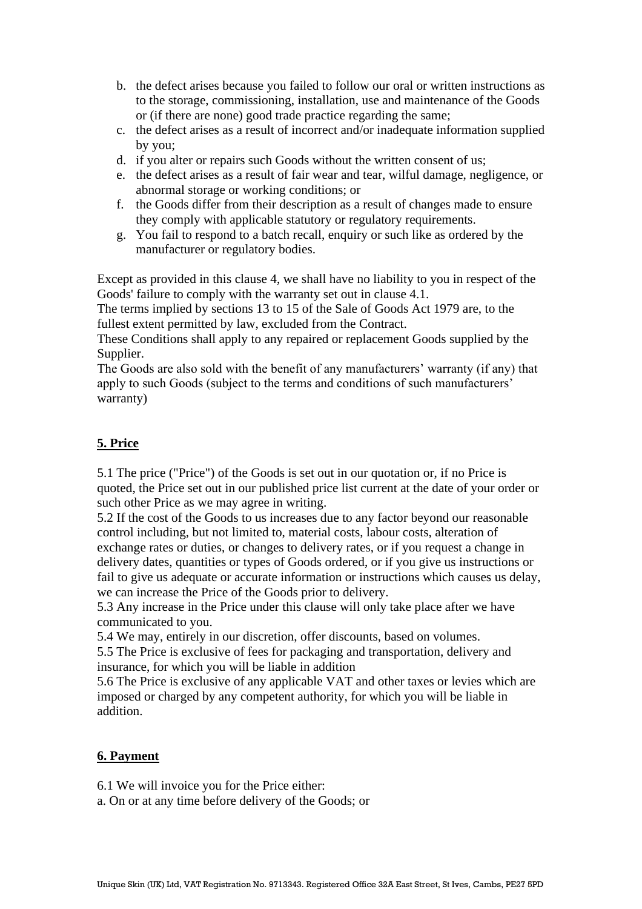- b. the defect arises because you failed to follow our oral or written instructions as to the storage, commissioning, installation, use and maintenance of the Goods or (if there are none) good trade practice regarding the same;
- c. the defect arises as a result of incorrect and/or inadequate information supplied by you;
- d. if you alter or repairs such Goods without the written consent of us;
- e. the defect arises as a result of fair wear and tear, wilful damage, negligence, or abnormal storage or working conditions; or
- f. the Goods differ from their description as a result of changes made to ensure they comply with applicable statutory or regulatory requirements.
- g. You fail to respond to a batch recall, enquiry or such like as ordered by the manufacturer or regulatory bodies.

Except as provided in this clause 4, we shall have no liability to you in respect of the Goods' failure to comply with the warranty set out in clause 4.1.

The terms implied by sections 13 to 15 of the Sale of Goods Act 1979 are, to the fullest extent permitted by law, excluded from the Contract.

These Conditions shall apply to any repaired or replacement Goods supplied by the Supplier.

The Goods are also sold with the benefit of any manufacturers' warranty (if any) that apply to such Goods (subject to the terms and conditions of such manufacturers' warranty)

# **5. Price**

5.1 The price ("Price") of the Goods is set out in our quotation or, if no Price is quoted, the Price set out in our published price list current at the date of your order or such other Price as we may agree in writing.

5.2 If the cost of the Goods to us increases due to any factor beyond our reasonable control including, but not limited to, material costs, labour costs, alteration of exchange rates or duties, or changes to delivery rates, or if you request a change in delivery dates, quantities or types of Goods ordered, or if you give us instructions or fail to give us adequate or accurate information or instructions which causes us delay, we can increase the Price of the Goods prior to delivery.

5.3 Any increase in the Price under this clause will only take place after we have communicated to you.

5.4 We may, entirely in our discretion, offer discounts, based on volumes.

5.5 The Price is exclusive of fees for packaging and transportation, delivery and insurance, for which you will be liable in addition

5.6 The Price is exclusive of any applicable VAT and other taxes or levies which are imposed or charged by any competent authority, for which you will be liable in addition.

# **6. Payment**

6.1 We will invoice you for the Price either:

a. On or at any time before delivery of the Goods; or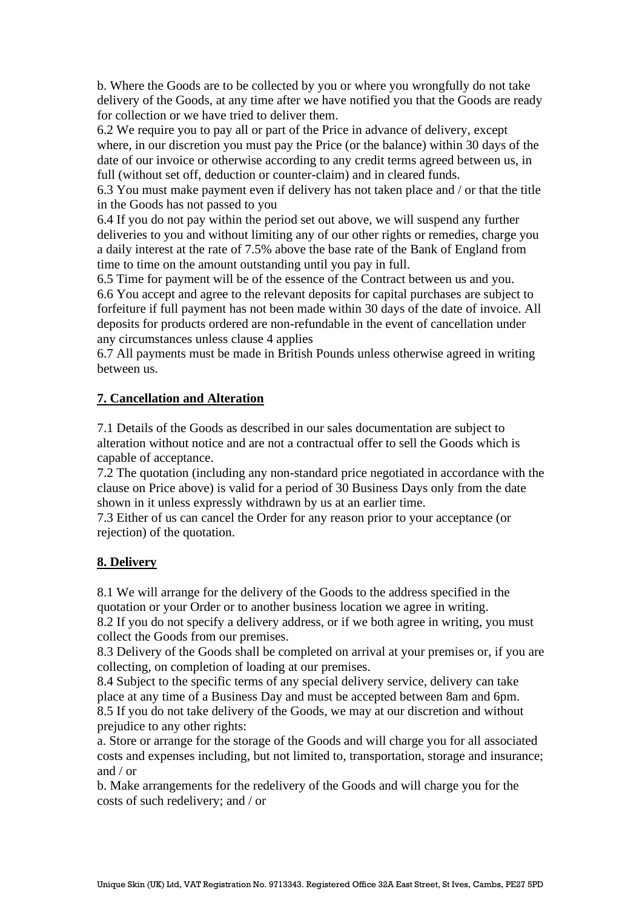b. Where the Goods are to be collected by you or where you wrongfully do not take delivery of the Goods, at any time after we have notified you that the Goods are ready for collection or we have tried to deliver them.

6.2 We require you to pay all or part of the Price in advance of delivery, except where, in our discretion you must pay the Price (or the balance) within 30 days of the date of our invoice or otherwise according to any credit terms agreed between us, in full (without set off, deduction or counter-claim) and in cleared funds.

6.3 You must make payment even if delivery has not taken place and / or that the title in the Goods has not passed to you

6.4 If you do not pay within the period set out above, we will suspend any further deliveries to you and without limiting any of our other rights or remedies, charge you a daily interest at the rate of 7.5% above the base rate of the Bank of England from time to time on the amount outstanding until you pay in full.

6.5 Time for payment will be of the essence of the Contract between us and you. 6.6 You accept and agree to the relevant deposits for capital purchases are subject to forfeiture if full payment has not been made within 30 days of the date of invoice. All deposits for products ordered are non-refundable in the event of cancellation under any circumstances unless clause 4 applies

6.7 All payments must be made in British Pounds unless otherwise agreed in writing between us.

#### **7. Cancellation and Alteration**

7.1 Details of the Goods as described in our sales documentation are subject to alteration without notice and are not a contractual offer to sell the Goods which is capable of acceptance.

7.2 The quotation (including any non-standard price negotiated in accordance with the clause on Price above) is valid for a period of 30 Business Days only from the date shown in it unless expressly withdrawn by us at an earlier time.

7.3 Either of us can cancel the Order for any reason prior to your acceptance (or rejection) of the quotation.

#### **8. Delivery**

8.1 We will arrange for the delivery of the Goods to the address specified in the quotation or your Order or to another business location we agree in writing.

8.2 If you do not specify a delivery address, or if we both agree in writing, you must collect the Goods from our premises.

8.3 Delivery of the Goods shall be completed on arrival at your premises or, if you are collecting, on completion of loading at our premises.

8.4 Subject to the specific terms of any special delivery service, delivery can take place at any time of a Business Day and must be accepted between 8am and 6pm. 8.5 If you do not take delivery of the Goods, we may at our discretion and without prejudice to any other rights:

a. Store or arrange for the storage of the Goods and will charge you for all associated costs and expenses including, but not limited to, transportation, storage and insurance; and / or

b. Make arrangements for the redelivery of the Goods and will charge you for the costs of such redelivery; and / or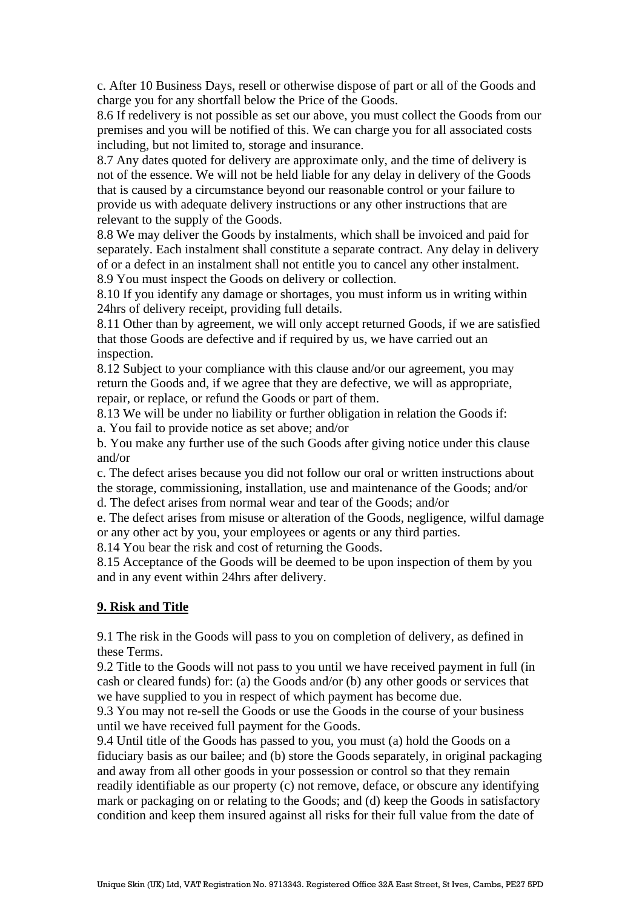c. After 10 Business Days, resell or otherwise dispose of part or all of the Goods and charge you for any shortfall below the Price of the Goods.

8.6 If redelivery is not possible as set our above, you must collect the Goods from our premises and you will be notified of this. We can charge you for all associated costs including, but not limited to, storage and insurance.

8.7 Any dates quoted for delivery are approximate only, and the time of delivery is not of the essence. We will not be held liable for any delay in delivery of the Goods that is caused by a circumstance beyond our reasonable control or your failure to provide us with adequate delivery instructions or any other instructions that are relevant to the supply of the Goods.

8.8 We may deliver the Goods by instalments, which shall be invoiced and paid for separately. Each instalment shall constitute a separate contract. Any delay in delivery of or a defect in an instalment shall not entitle you to cancel any other instalment. 8.9 You must inspect the Goods on delivery or collection.

8.10 If you identify any damage or shortages, you must inform us in writing within 24hrs of delivery receipt, providing full details.

8.11 Other than by agreement, we will only accept returned Goods, if we are satisfied that those Goods are defective and if required by us, we have carried out an inspection.

8.12 Subject to your compliance with this clause and/or our agreement, you may return the Goods and, if we agree that they are defective, we will as appropriate, repair, or replace, or refund the Goods or part of them.

8.13 We will be under no liability or further obligation in relation the Goods if:

a. You fail to provide notice as set above; and/or

b. You make any further use of the such Goods after giving notice under this clause and/or

c. The defect arises because you did not follow our oral or written instructions about the storage, commissioning, installation, use and maintenance of the Goods; and/or

d. The defect arises from normal wear and tear of the Goods; and/or

e. The defect arises from misuse or alteration of the Goods, negligence, wilful damage or any other act by you, your employees or agents or any third parties.

8.14 You bear the risk and cost of returning the Goods.

8.15 Acceptance of the Goods will be deemed to be upon inspection of them by you and in any event within 24hrs after delivery.

#### **9. Risk and Title**

9.1 The risk in the Goods will pass to you on completion of delivery, as defined in these Terms.

9.2 Title to the Goods will not pass to you until we have received payment in full (in cash or cleared funds) for: (a) the Goods and/or (b) any other goods or services that we have supplied to you in respect of which payment has become due.

9.3 You may not re-sell the Goods or use the Goods in the course of your business until we have received full payment for the Goods.

9.4 Until title of the Goods has passed to you, you must (a) hold the Goods on a fiduciary basis as our bailee; and (b) store the Goods separately, in original packaging and away from all other goods in your possession or control so that they remain readily identifiable as our property (c) not remove, deface, or obscure any identifying mark or packaging on or relating to the Goods; and (d) keep the Goods in satisfactory condition and keep them insured against all risks for their full value from the date of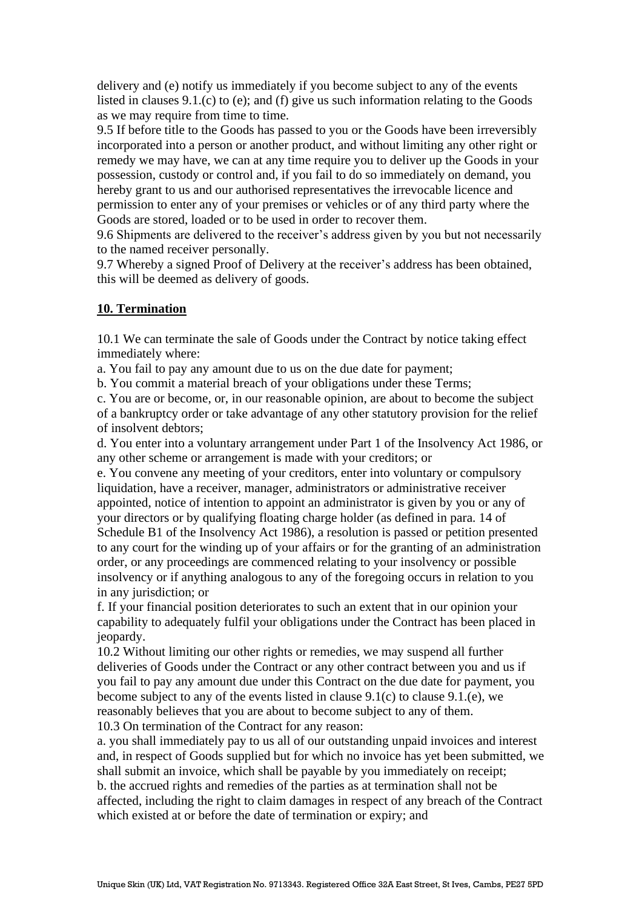delivery and (e) notify us immediately if you become subject to any of the events listed in clauses 9.1.(c) to (e); and (f) give us such information relating to the Goods as we may require from time to time.

9.5 If before title to the Goods has passed to you or the Goods have been irreversibly incorporated into a person or another product, and without limiting any other right or remedy we may have, we can at any time require you to deliver up the Goods in your possession, custody or control and, if you fail to do so immediately on demand, you hereby grant to us and our authorised representatives the irrevocable licence and permission to enter any of your premises or vehicles or of any third party where the Goods are stored, loaded or to be used in order to recover them.

9.6 Shipments are delivered to the receiver's address given by you but not necessarily to the named receiver personally.

9.7 Whereby a signed Proof of Delivery at the receiver's address has been obtained, this will be deemed as delivery of goods.

#### **10. Termination**

10.1 We can terminate the sale of Goods under the Contract by notice taking effect immediately where:

a. You fail to pay any amount due to us on the due date for payment;

b. You commit a material breach of your obligations under these Terms;

c. You are or become, or, in our reasonable opinion, are about to become the subject of a bankruptcy order or take advantage of any other statutory provision for the relief of insolvent debtors;

d. You enter into a voluntary arrangement under Part 1 of the Insolvency Act 1986, or any other scheme or arrangement is made with your creditors; or

e. You convene any meeting of your creditors, enter into voluntary or compulsory liquidation, have a receiver, manager, administrators or administrative receiver appointed, notice of intention to appoint an administrator is given by you or any of your directors or by qualifying floating charge holder (as defined in para. 14 of Schedule B1 of the Insolvency Act 1986), a resolution is passed or petition presented to any court for the winding up of your affairs or for the granting of an administration order, or any proceedings are commenced relating to your insolvency or possible insolvency or if anything analogous to any of the foregoing occurs in relation to you in any jurisdiction; or

f. If your financial position deteriorates to such an extent that in our opinion your capability to adequately fulfil your obligations under the Contract has been placed in jeopardy.

10.2 Without limiting our other rights or remedies, we may suspend all further deliveries of Goods under the Contract or any other contract between you and us if you fail to pay any amount due under this Contract on the due date for payment, you become subject to any of the events listed in clause 9.1(c) to clause 9.1.(e), we reasonably believes that you are about to become subject to any of them.

10.3 On termination of the Contract for any reason:

a. you shall immediately pay to us all of our outstanding unpaid invoices and interest and, in respect of Goods supplied but for which no invoice has yet been submitted, we shall submit an invoice, which shall be payable by you immediately on receipt; b. the accrued rights and remedies of the parties as at termination shall not be affected, including the right to claim damages in respect of any breach of the Contract which existed at or before the date of termination or expiry; and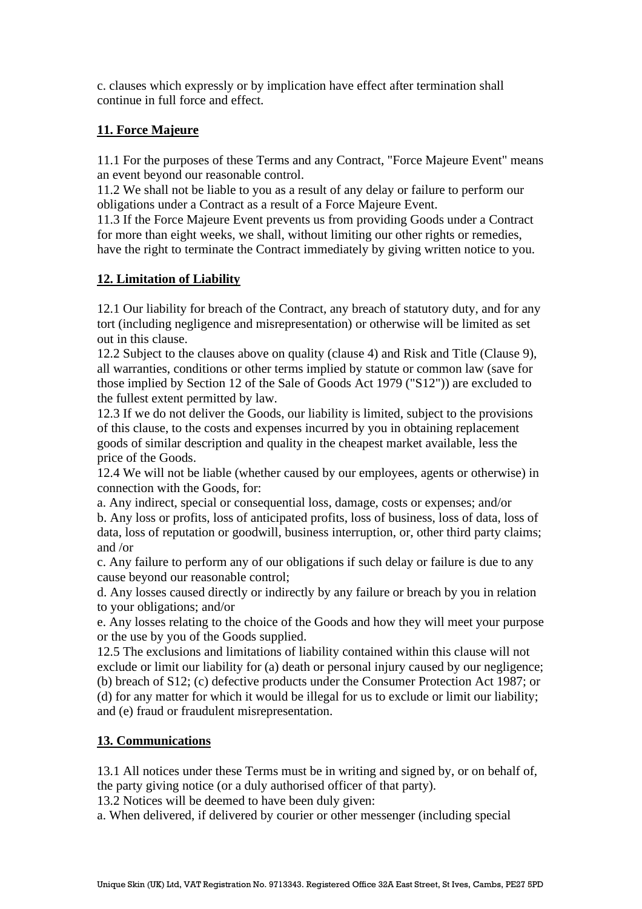c. clauses which expressly or by implication have effect after termination shall continue in full force and effect.

# **11. Force Majeure**

11.1 For the purposes of these Terms and any Contract, "Force Majeure Event" means an event beyond our reasonable control.

11.2 We shall not be liable to you as a result of any delay or failure to perform our obligations under a Contract as a result of a Force Majeure Event.

11.3 If the Force Majeure Event prevents us from providing Goods under a Contract for more than eight weeks, we shall, without limiting our other rights or remedies, have the right to terminate the Contract immediately by giving written notice to you.

# **12. Limitation of Liability**

12.1 Our liability for breach of the Contract, any breach of statutory duty, and for any tort (including negligence and misrepresentation) or otherwise will be limited as set out in this clause.

12.2 Subject to the clauses above on quality (clause 4) and Risk and Title (Clause 9), all warranties, conditions or other terms implied by statute or common law (save for those implied by Section 12 of the Sale of Goods Act 1979 ("S12")) are excluded to the fullest extent permitted by law.

12.3 If we do not deliver the Goods, our liability is limited, subject to the provisions of this clause, to the costs and expenses incurred by you in obtaining replacement goods of similar description and quality in the cheapest market available, less the price of the Goods.

12.4 We will not be liable (whether caused by our employees, agents or otherwise) in connection with the Goods, for:

a. Any indirect, special or consequential loss, damage, costs or expenses; and/or b. Any loss or profits, loss of anticipated profits, loss of business, loss of data, loss of data, loss of reputation or goodwill, business interruption, or, other third party claims; and /or

c. Any failure to perform any of our obligations if such delay or failure is due to any cause beyond our reasonable control;

d. Any losses caused directly or indirectly by any failure or breach by you in relation to your obligations; and/or

e. Any losses relating to the choice of the Goods and how they will meet your purpose or the use by you of the Goods supplied.

12.5 The exclusions and limitations of liability contained within this clause will not exclude or limit our liability for (a) death or personal injury caused by our negligence; (b) breach of S12; (c) defective products under the Consumer Protection Act 1987; or (d) for any matter for which it would be illegal for us to exclude or limit our liability; and (e) fraud or fraudulent misrepresentation.

# **13. Communications**

13.1 All notices under these Terms must be in writing and signed by, or on behalf of, the party giving notice (or a duly authorised officer of that party).

13.2 Notices will be deemed to have been duly given:

a. When delivered, if delivered by courier or other messenger (including special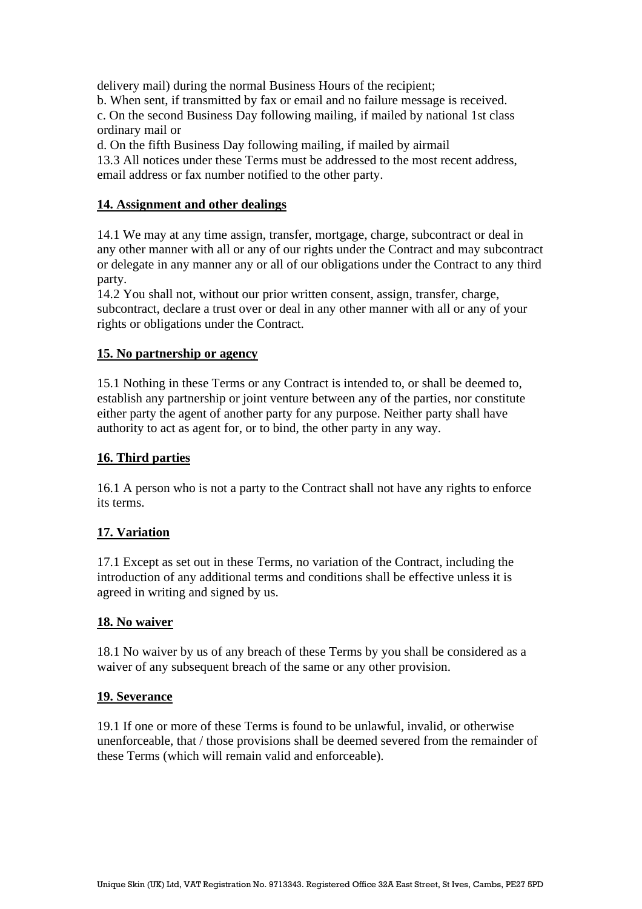delivery mail) during the normal Business Hours of the recipient;

b. When sent, if transmitted by fax or email and no failure message is received.

c. On the second Business Day following mailing, if mailed by national 1st class ordinary mail or

d. On the fifth Business Day following mailing, if mailed by airmail

13.3 All notices under these Terms must be addressed to the most recent address, email address or fax number notified to the other party.

# **14. Assignment and other dealings**

14.1 We may at any time assign, transfer, mortgage, charge, subcontract or deal in any other manner with all or any of our rights under the Contract and may subcontract or delegate in any manner any or all of our obligations under the Contract to any third party.

14.2 You shall not, without our prior written consent, assign, transfer, charge, subcontract, declare a trust over or deal in any other manner with all or any of your rights or obligations under the Contract.

### **15. No partnership or agency**

15.1 Nothing in these Terms or any Contract is intended to, or shall be deemed to, establish any partnership or joint venture between any of the parties, nor constitute either party the agent of another party for any purpose. Neither party shall have authority to act as agent for, or to bind, the other party in any way.

# **16. Third parties**

16.1 A person who is not a party to the Contract shall not have any rights to enforce its terms.

# **17. Variation**

17.1 Except as set out in these Terms, no variation of the Contract, including the introduction of any additional terms and conditions shall be effective unless it is agreed in writing and signed by us.

#### **18. No waiver**

18.1 No waiver by us of any breach of these Terms by you shall be considered as a waiver of any subsequent breach of the same or any other provision.

#### **19. Severance**

19.1 If one or more of these Terms is found to be unlawful, invalid, or otherwise unenforceable, that / those provisions shall be deemed severed from the remainder of these Terms (which will remain valid and enforceable).